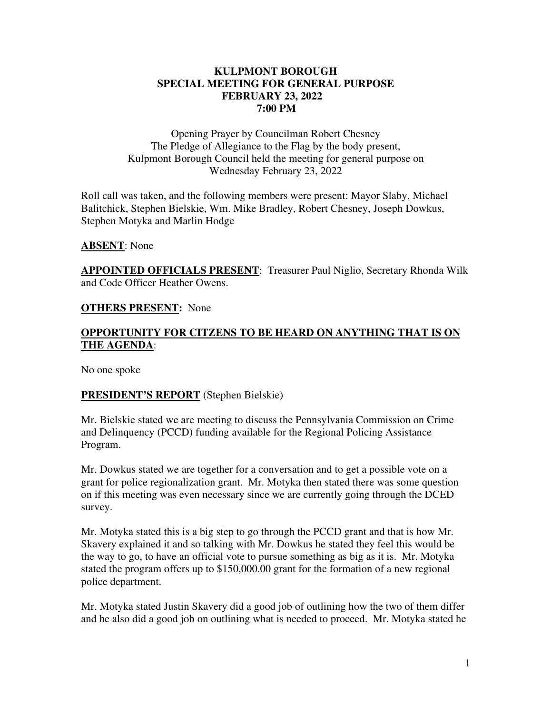### **KULPMONT BOROUGH SPECIAL MEETING FOR GENERAL PURPOSE FEBRUARY 23, 2022 7:00 PM**

Opening Prayer by Councilman Robert Chesney The Pledge of Allegiance to the Flag by the body present, Kulpmont Borough Council held the meeting for general purpose on Wednesday February 23, 2022

Roll call was taken, and the following members were present: Mayor Slaby, Michael Balitchick, Stephen Bielskie, Wm. Mike Bradley, Robert Chesney, Joseph Dowkus, Stephen Motyka and Marlin Hodge

#### **ABSENT**: None

**APPOINTED OFFICIALS PRESENT**: Treasurer Paul Niglio, Secretary Rhonda Wilk and Code Officer Heather Owens.

#### **OTHERS PRESENT:** None

# **OPPORTUNITY FOR CITZENS TO BE HEARD ON ANYTHING THAT IS ON THE AGENDA**:

No one spoke

# **PRESIDENT'S REPORT** (Stephen Bielskie)

Mr. Bielskie stated we are meeting to discuss the Pennsylvania Commission on Crime and Delinquency (PCCD) funding available for the Regional Policing Assistance Program.

Mr. Dowkus stated we are together for a conversation and to get a possible vote on a grant for police regionalization grant. Mr. Motyka then stated there was some question on if this meeting was even necessary since we are currently going through the DCED survey.

Mr. Motyka stated this is a big step to go through the PCCD grant and that is how Mr. Skavery explained it and so talking with Mr. Dowkus he stated they feel this would be the way to go, to have an official vote to pursue something as big as it is. Mr. Motyka stated the program offers up to \$150,000.00 grant for the formation of a new regional police department.

Mr. Motyka stated Justin Skavery did a good job of outlining how the two of them differ and he also did a good job on outlining what is needed to proceed. Mr. Motyka stated he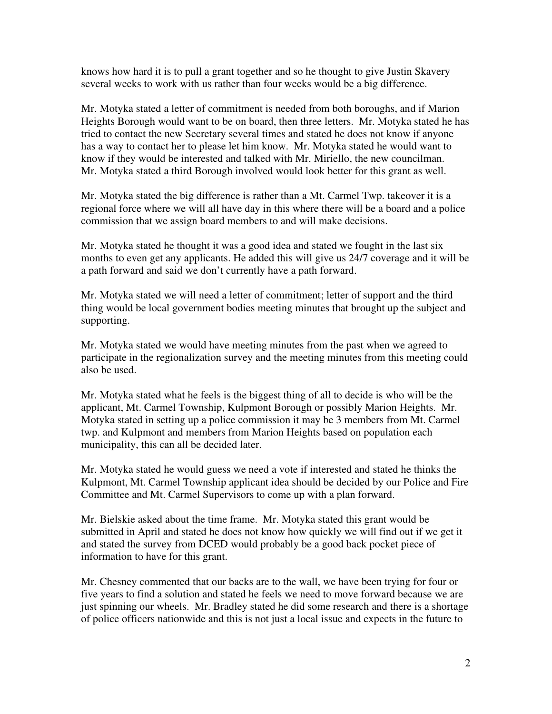knows how hard it is to pull a grant together and so he thought to give Justin Skavery several weeks to work with us rather than four weeks would be a big difference.

Mr. Motyka stated a letter of commitment is needed from both boroughs, and if Marion Heights Borough would want to be on board, then three letters. Mr. Motyka stated he has tried to contact the new Secretary several times and stated he does not know if anyone has a way to contact her to please let him know. Mr. Motyka stated he would want to know if they would be interested and talked with Mr. Miriello, the new councilman. Mr. Motyka stated a third Borough involved would look better for this grant as well.

Mr. Motyka stated the big difference is rather than a Mt. Carmel Twp. takeover it is a regional force where we will all have day in this where there will be a board and a police commission that we assign board members to and will make decisions.

Mr. Motyka stated he thought it was a good idea and stated we fought in the last six months to even get any applicants. He added this will give us 24/7 coverage and it will be a path forward and said we don't currently have a path forward.

Mr. Motyka stated we will need a letter of commitment; letter of support and the third thing would be local government bodies meeting minutes that brought up the subject and supporting.

Mr. Motyka stated we would have meeting minutes from the past when we agreed to participate in the regionalization survey and the meeting minutes from this meeting could also be used.

Mr. Motyka stated what he feels is the biggest thing of all to decide is who will be the applicant, Mt. Carmel Township, Kulpmont Borough or possibly Marion Heights. Mr. Motyka stated in setting up a police commission it may be 3 members from Mt. Carmel twp. and Kulpmont and members from Marion Heights based on population each municipality, this can all be decided later.

Mr. Motyka stated he would guess we need a vote if interested and stated he thinks the Kulpmont, Mt. Carmel Township applicant idea should be decided by our Police and Fire Committee and Mt. Carmel Supervisors to come up with a plan forward.

Mr. Bielskie asked about the time frame. Mr. Motyka stated this grant would be submitted in April and stated he does not know how quickly we will find out if we get it and stated the survey from DCED would probably be a good back pocket piece of information to have for this grant.

Mr. Chesney commented that our backs are to the wall, we have been trying for four or five years to find a solution and stated he feels we need to move forward because we are just spinning our wheels. Mr. Bradley stated he did some research and there is a shortage of police officers nationwide and this is not just a local issue and expects in the future to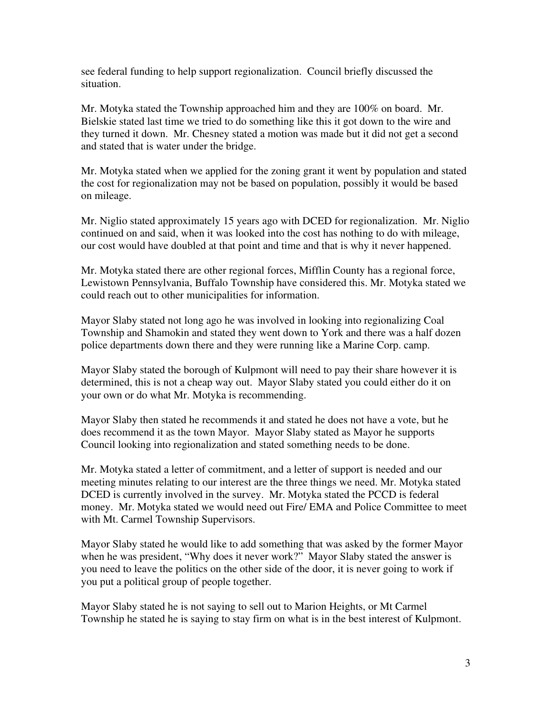see federal funding to help support regionalization. Council briefly discussed the situation.

Mr. Motyka stated the Township approached him and they are 100% on board. Mr. Bielskie stated last time we tried to do something like this it got down to the wire and they turned it down. Mr. Chesney stated a motion was made but it did not get a second and stated that is water under the bridge.

Mr. Motyka stated when we applied for the zoning grant it went by population and stated the cost for regionalization may not be based on population, possibly it would be based on mileage.

Mr. Niglio stated approximately 15 years ago with DCED for regionalization. Mr. Niglio continued on and said, when it was looked into the cost has nothing to do with mileage, our cost would have doubled at that point and time and that is why it never happened.

Mr. Motyka stated there are other regional forces, Mifflin County has a regional force, Lewistown Pennsylvania, Buffalo Township have considered this. Mr. Motyka stated we could reach out to other municipalities for information.

Mayor Slaby stated not long ago he was involved in looking into regionalizing Coal Township and Shamokin and stated they went down to York and there was a half dozen police departments down there and they were running like a Marine Corp. camp.

Mayor Slaby stated the borough of Kulpmont will need to pay their share however it is determined, this is not a cheap way out. Mayor Slaby stated you could either do it on your own or do what Mr. Motyka is recommending.

Mayor Slaby then stated he recommends it and stated he does not have a vote, but he does recommend it as the town Mayor. Mayor Slaby stated as Mayor he supports Council looking into regionalization and stated something needs to be done.

Mr. Motyka stated a letter of commitment, and a letter of support is needed and our meeting minutes relating to our interest are the three things we need. Mr. Motyka stated DCED is currently involved in the survey. Mr. Motyka stated the PCCD is federal money. Mr. Motyka stated we would need out Fire/ EMA and Police Committee to meet with Mt. Carmel Township Supervisors.

Mayor Slaby stated he would like to add something that was asked by the former Mayor when he was president, "Why does it never work?" Mayor Slaby stated the answer is you need to leave the politics on the other side of the door, it is never going to work if you put a political group of people together.

Mayor Slaby stated he is not saying to sell out to Marion Heights, or Mt Carmel Township he stated he is saying to stay firm on what is in the best interest of Kulpmont.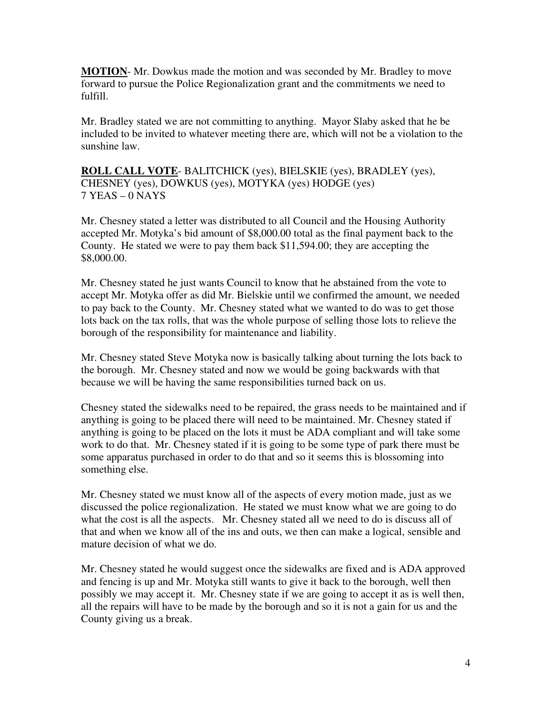**MOTION**- Mr. Dowkus made the motion and was seconded by Mr. Bradley to move forward to pursue the Police Regionalization grant and the commitments we need to fulfill.

Mr. Bradley stated we are not committing to anything. Mayor Slaby asked that he be included to be invited to whatever meeting there are, which will not be a violation to the sunshine law.

**ROLL CALL VOTE**- BALITCHICK (yes), BIELSKIE (yes), BRADLEY (yes), CHESNEY (yes), DOWKUS (yes), MOTYKA (yes) HODGE (yes) 7 YEAS – 0 NAYS

Mr. Chesney stated a letter was distributed to all Council and the Housing Authority accepted Mr. Motyka's bid amount of \$8,000.00 total as the final payment back to the County. He stated we were to pay them back \$11,594.00; they are accepting the \$8,000.00.

Mr. Chesney stated he just wants Council to know that he abstained from the vote to accept Mr. Motyka offer as did Mr. Bielskie until we confirmed the amount, we needed to pay back to the County. Mr. Chesney stated what we wanted to do was to get those lots back on the tax rolls, that was the whole purpose of selling those lots to relieve the borough of the responsibility for maintenance and liability.

Mr. Chesney stated Steve Motyka now is basically talking about turning the lots back to the borough. Mr. Chesney stated and now we would be going backwards with that because we will be having the same responsibilities turned back on us.

Chesney stated the sidewalks need to be repaired, the grass needs to be maintained and if anything is going to be placed there will need to be maintained. Mr. Chesney stated if anything is going to be placed on the lots it must be ADA compliant and will take some work to do that. Mr. Chesney stated if it is going to be some type of park there must be some apparatus purchased in order to do that and so it seems this is blossoming into something else.

Mr. Chesney stated we must know all of the aspects of every motion made, just as we discussed the police regionalization. He stated we must know what we are going to do what the cost is all the aspects. Mr. Chesney stated all we need to do is discuss all of that and when we know all of the ins and outs, we then can make a logical, sensible and mature decision of what we do.

Mr. Chesney stated he would suggest once the sidewalks are fixed and is ADA approved and fencing is up and Mr. Motyka still wants to give it back to the borough, well then possibly we may accept it. Mr. Chesney state if we are going to accept it as is well then, all the repairs will have to be made by the borough and so it is not a gain for us and the County giving us a break.